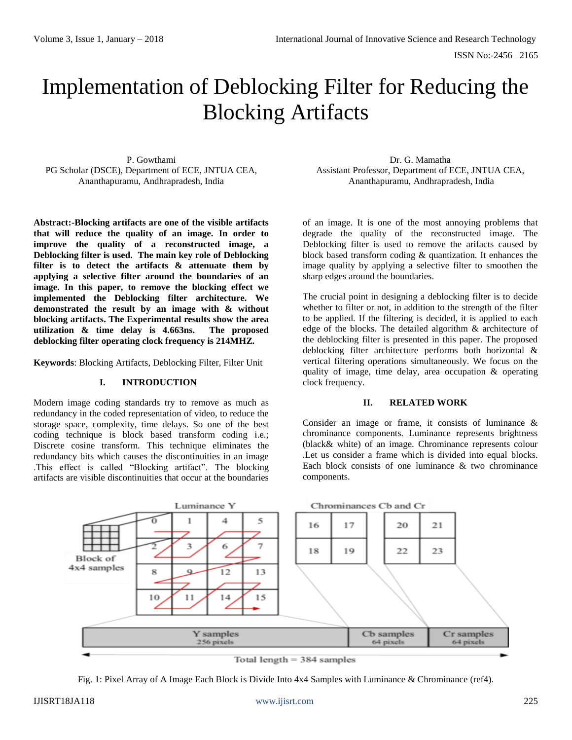# Implementation of Deblocking Filter for Reducing the Blocking Artifacts

P. Gowthami PG Scholar (DSCE), Department of ECE, JNTUA CEA, Ananthapuramu, Andhrapradesh, India

**Abstract:-Blocking artifacts are one of the visible artifacts that will reduce the quality of an image. In order to improve the quality of a reconstructed image, a Deblocking filter is used. The main key role of Deblocking filter is to detect the artifacts & attenuate them by applying a selective filter around the boundaries of an image. In this paper, to remove the blocking effect we implemented the Deblocking filter architecture. We demonstrated the result by an image with & without blocking artifacts. The Experimental results show the area utilization & time delay is 4.663ns. The proposed deblocking filter operating clock frequency is 214MHZ.**

**Keywords**: Blocking Artifacts, Deblocking Filter, Filter Unit

# **I. INTRODUCTION**

Modern image coding standards try to remove as much as redundancy in the coded representation of video, to reduce the storage space, complexity, time delays. So one of the best coding technique is block based transform coding i.e.; Discrete cosine transform. This technique eliminates the redundancy bits which causes the discontinuities in an image .This effect is called "Blocking artifact". The blocking artifacts are visible discontinuities that occur at the boundaries

Dr. G. Mamatha Assistant Professor, Department of ECE, JNTUA CEA, Ananthapuramu, Andhrapradesh, India

of an image. It is one of the most annoying problems that degrade the quality of the reconstructed image. The Deblocking filter is used to remove the arifacts caused by block based transform coding & quantization. It enhances the image quality by applying a selective filter to smoothen the sharp edges around the boundaries.

The crucial point in designing a deblocking filter is to decide whether to filter or not, in addition to the strength of the filter to be applied. If the filtering is decided, it is applied to each edge of the blocks. The detailed algorithm & architecture of the deblocking filter is presented in this paper. The proposed deblocking filter architecture performs both horizontal & vertical filtering operations simultaneously. We focus on the quality of image, time delay, area occupation & operating clock frequency.

## **II. RELATED WORK**

Consider an image or frame, it consists of luminance & chrominance components. Luminance represents brightness (black& white) of an image. Chrominance represents colour .Let us consider a frame which is divided into equal blocks. Each block consists of one luminance & two chrominance components.



Fig. 1: Pixel Array of A Image Each Block is Divide Into 4x4 Samples with Luminance & Chrominance (ref4).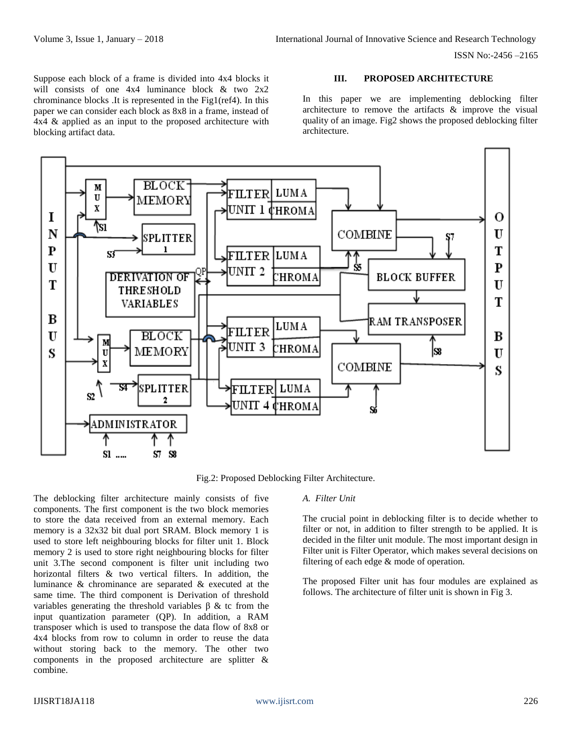Suppose each block of a frame is divided into 4x4 blocks it will consists of one 4x4 luminance block & two 2x2 chrominance blocks .It is represented in the Fig1(ref4). In this paper we can consider each block as 8x8 in a frame, instead of 4x4 & applied as an input to the proposed architecture with blocking artifact data.

#### **III. PROPOSED ARCHITECTURE**

In this paper we are implementing deblocking filter architecture to remove the artifacts & improve the visual quality of an image. Fig2 shows the proposed deblocking filter architecture.



Fig.2: Proposed Deblocking Filter Architecture.

The deblocking filter architecture mainly consists of five components. The first component is the two block memories to store the data received from an external memory. Each memory is a 32x32 bit dual port SRAM. Block memory 1 is used to store left neighbouring blocks for filter unit 1. Block memory 2 is used to store right neighbouring blocks for filter unit 3.The second component is filter unit including two horizontal filters & two vertical filters. In addition, the luminance & chrominance are separated & executed at the same time. The third component is Derivation of threshold variables generating the threshold variables β & tc from the input quantization parameter (QP). In addition, a RAM transposer which is used to transpose the data flow of 8x8 or 4x4 blocks from row to column in order to reuse the data without storing back to the memory. The other two components in the proposed architecture are splitter & combine.

## *A. Filter Unit*

The crucial point in deblocking filter is to decide whether to filter or not, in addition to filter strength to be applied. It is decided in the filter unit module. The most important design in Filter unit is Filter Operator, which makes several decisions on filtering of each edge & mode of operation.

The proposed Filter unit has four modules are explained as follows. The architecture of filter unit is shown in Fig 3.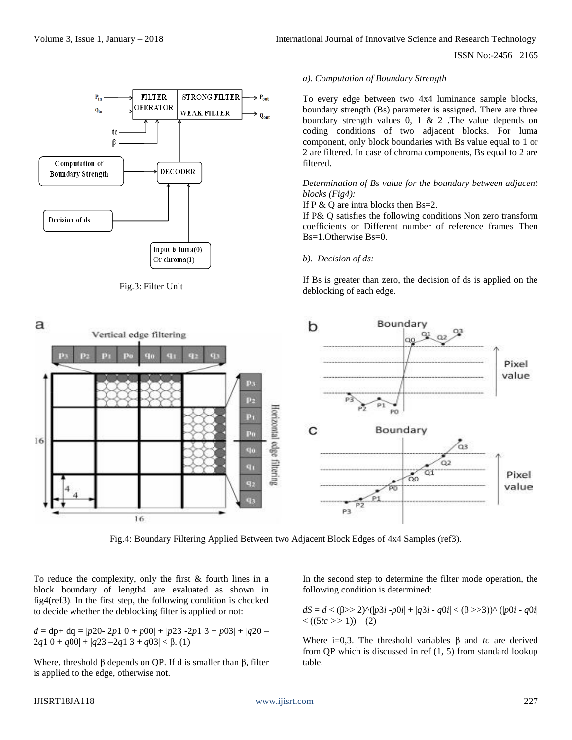

Fig.3: Filter Unit

#### *a). Computation of Boundary Strength*

To every edge between two 4x4 luminance sample blocks, boundary strength (Bs) parameter is assigned. There are three boundary strength values  $0, 1 \& 2$ . The value depends on coding conditions of two adjacent blocks. For luma component, only block boundaries with Bs value equal to 1 or 2 are filtered. In case of chroma components, Bs equal to 2 are filtered.

## *Determination of Bs value for the boundary between adjacent blocks (Fig4):*

If  $P \& Q$  are intra blocks then Bs=2.

If P& Q satisfies the following conditions Non zero transform coefficients or Different number of reference frames Then Bs=1.Otherwise Bs=0.

#### *b). Decision of ds:*

If Bs is greater than zero, the decision of ds is applied on the deblocking of each edge.



Fig.4: Boundary Filtering Applied Between two Adjacent Block Edges of 4x4 Samples (ref3).

To reduce the complexity, only the first & fourth lines in a block boundary of length4 are evaluated as shown in fig4(ref3). In the first step, the following condition is checked to decide whether the deblocking filter is applied or not:

$$
d = dp + dq = |p20 - 2p1 0 + p00| + |p23 - 2p1 3 + p03| + |q20 - 2q1 0 + q00| + |q23 - 2q1 3 + q03| < \beta
$$
. (1)

Where, threshold  $\beta$  depends on QP. If d is smaller than  $\beta$ , filter is applied to the edge, otherwise not.

In the second step to determine the filter mode operation, the following condition is determined:

 $dS = d < (\beta > 2)$ ^ $(p3i - p0i| + |q3i - q0i| < (\beta > 3)$ )^  $(p0i - q0i|$  $\langle (5tc >> 1) (2) \rangle$ 

Where i=0,3. The threshold variables  $\beta$  and *tc* are derived from QP which is discussed in ref (1, 5) from standard lookup table.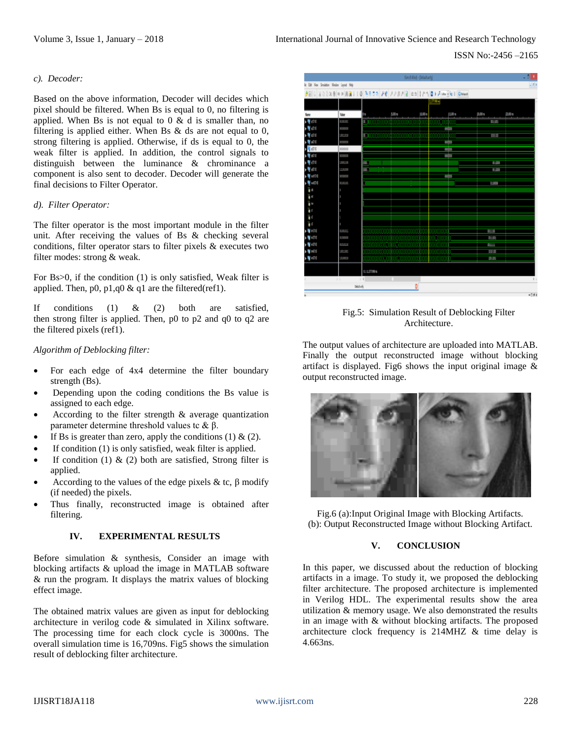#### *c). Decoder:*

Based on the above information, Decoder will decides which pixel should be filtered. When Bs is equal to 0, no filtering is applied. When Bs is not equal to  $0 \& d$  is smaller than, no filtering is applied either. When Bs  $\&$  ds are not equal to 0, strong filtering is applied. Otherwise, if ds is equal to 0, the weak filter is applied. In addition, the control signals to distinguish between the luminance & chrominance a component is also sent to decoder. Decoder will generate the final decisions to Filter Operator.

## *d). Filter Operator:*

The filter operator is the most important module in the filter unit. After receiving the values of Bs & checking several conditions, filter operator stars to filter pixels & executes two filter modes: strong & weak.

For Bs>0, if the condition (1) is only satisfied, Weak filter is applied. Then,  $p0$ ,  $p1$ , $q0$  &  $q1$  are the filtered(ref1).

If conditions (1) & (2) both are satisfied, then strong filter is applied. Then, p0 to p2 and q0 to q2 are the filtered pixels (ref1).

#### *Algorithm of Deblocking filter:*

- For each edge of 4x4 determine the filter boundary strength (Bs).
- Depending upon the coding conditions the Bs value is assigned to each edge.
- According to the filter strength  $\&$  average quantization parameter determine threshold values tc &  $β$ .
- If Bs is greater than zero, apply the conditions  $(1) \& (2)$ .
- If condition  $(1)$  is only satisfied, weak filter is applied.
- If condition (1)  $\&$  (2) both are satisfied. Strong filter is applied.
- According to the values of the edge pixels & tc,  $\beta$  modify (if needed) the pixels.
- Thus finally, reconstructed image is obtained after filtering.

#### **IV. EXPERIMENTAL RESULTS**

Before simulation & synthesis, Consider an image with blocking artifacts & upload the image in MATLAB software & run the program. It displays the matrix values of blocking effect image.

The obtained matrix values are given as input for deblocking architecture in verilog code & simulated in Xilinx software. The processing time for each clock cycle is 3000ns. The overall simulation time is 16,709ns. Fig5 shows the simulation result of deblocking filter architecture.



Fig.5: Simulation Result of Deblocking Filter Architecture.

The output values of architecture are uploaded into MATLAB. Finally the output reconstructed image without blocking artifact is displayed. Fig6 shows the input original image  $\&$ output reconstructed image.



Fig.6 (a):Input Original Image with Blocking Artifacts. (b): Output Reconstructed Image without Blocking Artifact.

## **V. CONCLUSION**

In this paper, we discussed about the reduction of blocking artifacts in a image. To study it, we proposed the deblocking filter architecture. The proposed architecture is implemented in Verilog HDL. The experimental results show the area utilization & memory usage. We also demonstrated the results in an image with & without blocking artifacts. The proposed architecture clock frequency is 214MHZ & time delay is 4.663ns.